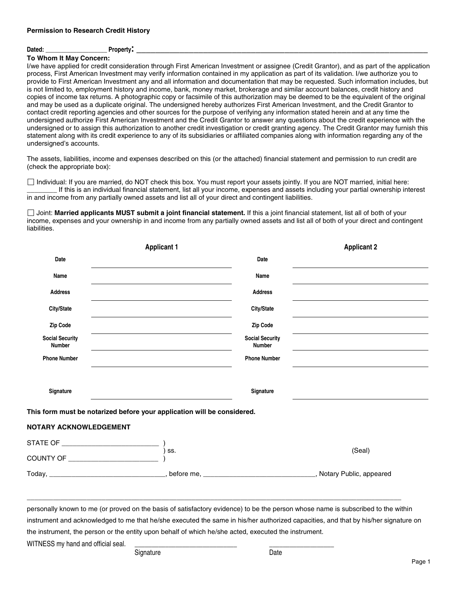# **Dated: \_\_\_\_\_\_\_\_\_\_\_\_\_\_\_\_\_\_\_\_ Property: \_\_\_\_\_\_\_\_\_\_\_\_\_\_\_\_\_\_\_\_\_\_\_\_\_\_\_\_\_\_\_\_\_\_\_\_\_\_\_\_\_\_\_\_\_\_\_\_\_\_\_\_\_\_\_\_\_\_\_\_\_**

#### **To Whom It May Concern:**

I/we have applied for credit consideration through First American Investment or assignee (Credit Grantor), and as part of the application process, First American Investment may verify information contained in my application as part of its validation. I/we authorize you to provide to First American Investment any and all information and documentation that may be requested. Such information includes, but is not limited to, employment history and income, bank, money market, brokerage and similar account balances, credit history and copies of income tax returns. A photographic copy or facsimile of this authorization may be deemed to be the equivalent of the original and may be used as a duplicate original. The undersigned hereby authorizes First American Investment, and the Credit Grantor to contact credit reporting agencies and other sources for the purpose of verifying any information stated herein and at any time the undersigned authorize First American Investment and the Credit Grantor to answer any questions about the credit experience with the undersigned or to assign this authorization to another credit investigation or credit granting agency. The Credit Grantor may furnish this statement along with its credit experience to any of its subsidiaries or affiliated companies along with information regarding any of the undersigned's accounts.

The assets, liabilities, income and expenses described on this (or the attached) financial statement and permission to run credit are (check the appropriate box):

 Individual: If you are married, do NOT check this box. You must report your assets jointly. If you are NOT married, initial here: If this is an individual financial statement, list all your income, expenses and assets including your partial ownership interest in and income from any partially owned assets and list all of your direct and contingent liabilities.

 Joint: **Married applicants MUST submit a joint financial statement.** If this a joint financial statement, list all of both of your income, expenses and your ownership in and income from any partially owned assets and list all of both of your direct and contingent liabilities.

|                                         | <b>Applicant 1</b>                                                      |                                         | <b>Applicant 2</b> |
|-----------------------------------------|-------------------------------------------------------------------------|-----------------------------------------|--------------------|
| Date                                    |                                                                         | Date                                    |                    |
| Name                                    |                                                                         | Name                                    |                    |
| <b>Address</b>                          |                                                                         | <b>Address</b>                          |                    |
| City/State                              |                                                                         | City/State                              |                    |
| Zip Code                                |                                                                         | Zip Code                                |                    |
| <b>Social Security</b><br><b>Number</b> |                                                                         | <b>Social Security</b><br><b>Number</b> |                    |
| <b>Phone Number</b>                     |                                                                         | <b>Phone Number</b>                     |                    |
|                                         |                                                                         |                                         |                    |
| Signature                               |                                                                         | Signature                               |                    |
|                                         | This form must be notarized before your application will be considered. |                                         |                    |
| <b>NOTARY ACKNOWLEDGEMENT</b>           |                                                                         |                                         |                    |
|                                         |                                                                         |                                         |                    |
|                                         | SS.                                                                     |                                         | (Seal)             |
|                                         |                                                                         |                                         |                    |

personally known to me (or proved on the basis of satisfactory evidence) to be the person whose name is subscribed to the within instrument and acknowledged to me that he/she executed the same in his/her authorized capacities, and that by his/her signature on the instrument, the person or the entity upon behalf of which he/she acted, executed the instrument.

\_\_\_\_\_\_\_\_\_\_\_\_\_\_\_\_\_\_\_\_\_\_\_\_\_\_\_\_\_\_\_\_\_\_\_\_\_\_\_\_\_\_\_\_\_\_\_\_\_\_\_\_\_\_\_\_\_\_\_\_\_\_\_\_\_\_\_\_\_\_\_\_\_\_\_\_\_\_\_\_\_\_\_\_\_\_\_\_\_\_\_\_\_\_\_\_\_\_\_\_

WITNESS my hand and official seal.

Signature Date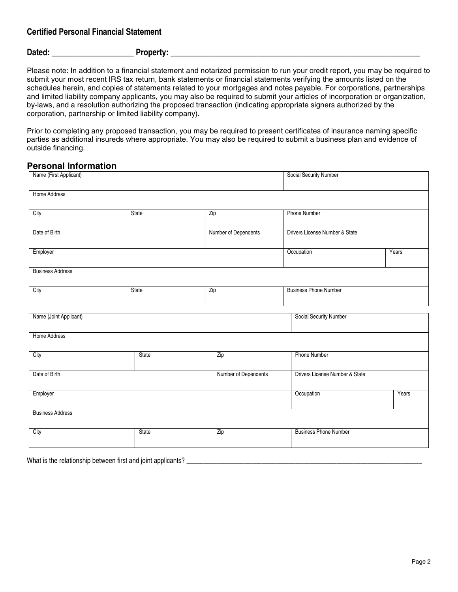## **Certified Personal Financial Statement**

#### Dated: The contract of the property:  $\blacksquare$

Please note: In addition to a financial statement and notarized permission to run your credit report, you may be required to submit your most recent IRS tax return, bank statements or financial statements verifying the amounts listed on the schedules herein, and copies of statements related to your mortgages and notes payable. For corporations, partnerships and limited liability company applicants, you may also be required to submit your articles of incorporation or organization, by-laws, and a resolution authorizing the proposed transaction (indicating appropriate signers authorized by the corporation, partnership or limited liability company).

Prior to completing any proposed transaction, you may be required to present certificates of insurance naming specific parties as additional insureds where appropriate. You may also be required to submit a business plan and evidence of outside financing.

#### **Personal Information**

| Name (First Applicant)  |              |                      | Social Security Number         |       |  |  |
|-------------------------|--------------|----------------------|--------------------------------|-------|--|--|
| Home Address            |              |                      |                                |       |  |  |
| City                    | State        | Zip                  | Phone Number                   |       |  |  |
| Date of Birth           |              | Number of Dependents | Drivers License Number & State |       |  |  |
| Employer                |              |                      | Occupation                     | Years |  |  |
| <b>Business Address</b> |              |                      |                                |       |  |  |
| City                    | State        | Zip                  | <b>Business Phone Number</b>   |       |  |  |
| Name (Joint Applicant)  |              |                      | <b>Social Security Number</b>  |       |  |  |
|                         |              |                      |                                |       |  |  |
| <b>Home Address</b>     |              |                      |                                |       |  |  |
| City                    | <b>State</b> | Zip                  | <b>Phone Number</b>            |       |  |  |
| Date of Birth           |              | Number of Dependents | Drivers License Number & State |       |  |  |
| Employer                |              |                      | Occupation                     | Years |  |  |
| <b>Business Address</b> |              |                      |                                |       |  |  |
| City                    | State        | Zip                  | <b>Business Phone Number</b>   |       |  |  |
|                         |              |                      |                                |       |  |  |

What is the relationship between first and joint applicants? \_\_\_\_\_\_\_\_\_\_\_\_\_\_\_\_\_\_\_\_\_\_\_\_\_\_\_\_\_\_\_\_\_\_\_\_\_\_\_\_\_\_\_\_\_\_\_\_\_\_\_\_\_\_\_\_\_\_\_\_\_\_\_\_\_\_\_\_\_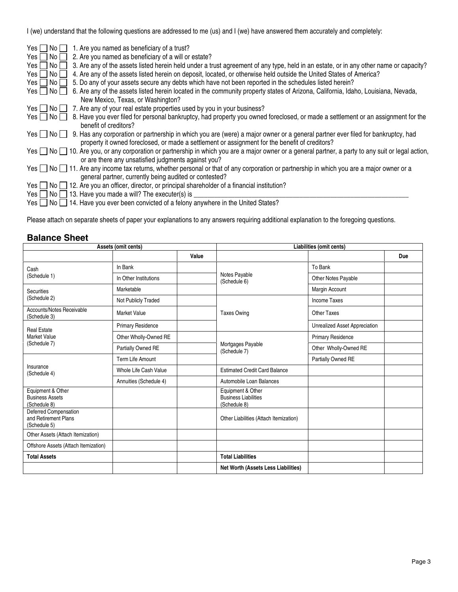I (we) understand that the following questions are addressed to me (us) and I (we) have answered them accurately and completely:

| No I<br>Yes $\Box$<br>1. Are you named as beneficiary of a trust?                                                                                                   |
|---------------------------------------------------------------------------------------------------------------------------------------------------------------------|
| 2. Are you named as beneficiary of a will or estate?<br>No I<br>Yes II                                                                                              |
| No <sub>1</sub><br>3. Are any of the assets listed herein held under a trust agreement of any type, held in an estate, or in any other name or capacity?<br>Yes II  |
| 4. Are any of the assets listed herein on deposit, located, or otherwise held outside the United States of America?<br>No <sub>l</sub><br>Yes II                    |
| 5. Do any of your assets secure any debts which have not been reported in the schedules listed herein?<br>No <sub>l</sub><br>Yes II                                 |
| 6. Are any of the assets listed herein located in the community property states of Arizona, California, Idaho, Louisiana, Nevada,<br>Yes $\Box$ No $\Box$           |
| New Mexico, Texas, or Washington?                                                                                                                                   |
| 7. Are any of your real estate properties used by you in your business?<br>Yes $\Box$<br>  No                                                                       |
| 8. Have you ever filed for personal bankruptcy, had property you owned foreclosed, or made a settlement or an assignment for the<br>No <sub>l</sub><br>Yes $  \,  $ |
| benefit of creditors?                                                                                                                                               |
| Yes $\Box$ No $\Box$<br>9. Has any corporation or partnership in which you are (were) a major owner or a general partner ever filed for bankruptcy, had             |
| property it owned foreclosed, or made a settlement or assignment for the benefit of creditors?                                                                      |
| Yes □ No □ 10. Are you, or any corporation or partnership in which you are a major owner or a general partner, a party to any suit or legal action,                 |
| or are there any unsatisfied judgments against you?                                                                                                                 |
| Yes $\Box$ No $\Box$ 11. Are any income tax returns, whether personal or that of any corporation or partnership in which you are a major owner or a                 |
| general partner, currently being audited or contested?                                                                                                              |
| $\overline{N}$ 12. Are you an officer, director, or principal shareholder of a financial institution?<br>Yes II                                                     |
| $\overline{N}$ 13. Have you made a will? The executer(s) is<br>Yes II                                                                                               |
| Yes $\Box$ No $\Box$ 14. Have you ever been convicted of a felony anywhere in the United States?                                                                    |

Please attach on separate sheets of paper your explanations to any answers requiring additional explanation to the foregoing questions.

## **Balance Sheet**

|                                                               | Assets (omit cents)      |       |                                                                  | Liabilities (omit cents)      |            |
|---------------------------------------------------------------|--------------------------|-------|------------------------------------------------------------------|-------------------------------|------------|
|                                                               |                          | Value |                                                                  |                               | <b>Due</b> |
| Cash                                                          | In Bank                  |       |                                                                  | To Bank                       |            |
| (Schedule 1)                                                  | In Other Institutions    |       | Notes Payable<br>(Schedule 6)                                    | Other Notes Payable           |            |
| <b>Securities</b>                                             | Marketable               |       |                                                                  | Margin Account                |            |
| (Schedule 2)                                                  | Not Publicly Traded      |       |                                                                  | Income Taxes                  |            |
| Accounts/Notes Receivable<br>(Schedule 3)                     | <b>Market Value</b>      |       | <b>Taxes Owing</b>                                               | Other Taxes                   |            |
| <b>Real Estate</b>                                            | <b>Primary Residence</b> |       |                                                                  | Unrealized Asset Appreciation |            |
| <b>Market Value</b><br>(Schedule 7)                           | Other Wholly-Owned RE    |       |                                                                  | <b>Primary Residence</b>      |            |
|                                                               | Partially Owned RE       |       | Mortgages Payable<br>(Schedule 7)                                | Other Wholly-Owned RE         |            |
|                                                               | Term Life Amount         |       |                                                                  | Partially Owned RE            |            |
| Insurance<br>(Schedule 4)                                     | Whole Life Cash Value    |       | <b>Estimated Credit Card Balance</b>                             |                               |            |
|                                                               | Annuities (Schedule 4)   |       | Automobile Loan Balances                                         |                               |            |
| Equipment & Other<br><b>Business Assets</b><br>(Schedule 8)   |                          |       | Equipment & Other<br><b>Business Liabilities</b><br>(Schedule 8) |                               |            |
| Deferred Compensation<br>and Retirement Plans<br>(Schedule 5) |                          |       | Other Liabilities (Attach Itemization)                           |                               |            |
| Other Assets (Attach Itemization)                             |                          |       |                                                                  |                               |            |
| Offshore Assets (Attach Itemization)                          |                          |       |                                                                  |                               |            |
| <b>Total Assets</b>                                           |                          |       | <b>Total Liabilities</b>                                         |                               |            |
|                                                               |                          |       | Net Worth (Assets Less Liabilities)                              |                               |            |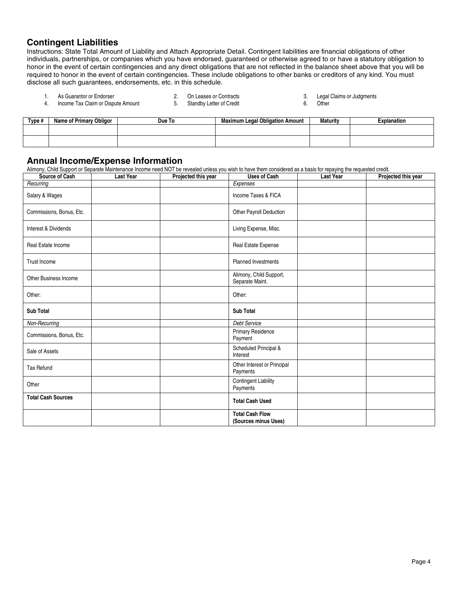## **Contingent Liabilities**

Instructions: State Total Amount of Liability and Attach Appropriate Detail. Contingent liabilities are financial obligations of other individuals, partnerships, or companies which you have endorsed, guaranteed or otherwise agreed to or have a statutory obligation to honor in the event of certain contingencies and any direct obligations that are not reflected in the balance sheet above that you will be required to honor in the event of certain contingencies. These include obligations to other banks or creditors of any kind. You must disclose all such guarantees, endorsements, etc. in this schedule.

- Income Tax Claim or Dispute Amount
- 
- 1. As Guarantor or Endorser 2. Con Leases or Contracts 1. As Cuarantor or Endorse 1. Legal Claims or Judgments<br>1. Income Tax Claim or Dispute Amount 5. Standby Letter of Credit 6. Other
	-
- **Type # Name of Primary Obligor | Due To | Maximum Legal Obligation Amount | Maturity | Explanation**

## **Annual Income/Expense Information**

Alimony, Child Support or Separate Maintenance Income need NOT be revealed unless you wish to have them considered as a basis for repaying the requested credit.

| Source of Cash               | <b>Last Year</b> | Projected this year | <b>Uses of Cash</b>                            | <b>Last Year</b> | Projected this year |
|------------------------------|------------------|---------------------|------------------------------------------------|------------------|---------------------|
| Recurring                    |                  |                     | Expenses                                       |                  |                     |
| Salary & Wages               |                  |                     | Income Taxes & FICA                            |                  |                     |
| Commissions, Bonus, Etc.     |                  |                     | Other Payroll Deduction                        |                  |                     |
| Interest & Dividends         |                  |                     | Living Expense, Misc.                          |                  |                     |
| Real Estate Income           |                  |                     | Real Estate Expense                            |                  |                     |
| Trust Income                 |                  |                     | <b>Planned Investments</b>                     |                  |                     |
| <b>Other Business Income</b> |                  |                     | Alimony, Child Support,<br>Separate Maint.     |                  |                     |
| Other:                       |                  |                     | Other:                                         |                  |                     |
| <b>Sub Total</b>             |                  |                     | <b>Sub Total</b>                               |                  |                     |
| Non-Recurring                |                  |                     | <b>Debt Service</b>                            |                  |                     |
| Commissions, Bonus, Etc.     |                  |                     | <b>Primary Residence</b><br>Payment            |                  |                     |
| Sale of Assets               |                  |                     | Scheduled Principal &<br>Interest              |                  |                     |
| <b>Tax Refund</b>            |                  |                     | Other Interest or Principal<br>Payments        |                  |                     |
| Other                        |                  |                     | <b>Contingent Liability</b><br>Payments        |                  |                     |
| <b>Total Cash Sources</b>    |                  |                     | <b>Total Cash Used</b>                         |                  |                     |
|                              |                  |                     | <b>Total Cash Flow</b><br>(Sources minus Uses) |                  |                     |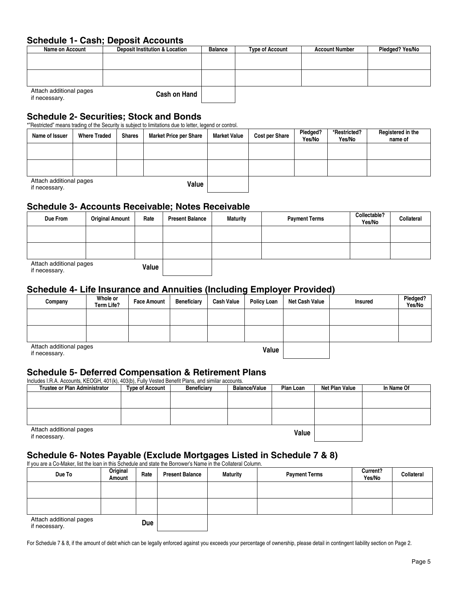## **Schedule 1- Cash; Deposit Accounts**

| Name on Account                          | <b>Deposit Institution &amp; Location</b> | <b>Balance</b> | <b>Type of Account</b> | <b>Account Number</b> | Pledged? Yes/No |
|------------------------------------------|-------------------------------------------|----------------|------------------------|-----------------------|-----------------|
|                                          |                                           |                |                        |                       |                 |
|                                          |                                           |                |                        |                       |                 |
|                                          |                                           |                |                        |                       |                 |
|                                          |                                           |                |                        |                       |                 |
| Attach additional pages<br>if necessary. | <b>Cash on Hand</b>                       |                |                        |                       |                 |

#### **Schedule 2- Securities; Stock and Bonds**

\*"Restricted" means trading of the Security is subiect to limitations due to letter, legend or control.

| Name of Issuer                           | <b>Where Traded</b> | <b>Shares</b> | <b>Market Price per Share</b> | <b>Market Value</b> | <b>Cost per Share</b> | Pledged?<br>Yes/No | *Restricted?<br>Yes/No | Registered in the<br>name of |
|------------------------------------------|---------------------|---------------|-------------------------------|---------------------|-----------------------|--------------------|------------------------|------------------------------|
|                                          |                     |               |                               |                     |                       |                    |                        |                              |
|                                          |                     |               |                               |                     |                       |                    |                        |                              |
| Attach additional pages<br>if necessary. |                     |               | Value                         |                     |                       |                    |                        |                              |

## **Schedule 3- Accounts Receivable; Notes Receivable**

| Due From                                 | <b>Original Amount</b> | Rate  | <b>Present Balance</b> | <b>Maturity</b> | <b>Payment Terms</b> | Collectable?<br>Yes/No | Collateral |
|------------------------------------------|------------------------|-------|------------------------|-----------------|----------------------|------------------------|------------|
|                                          |                        |       |                        |                 |                      |                        |            |
|                                          |                        |       |                        |                 |                      |                        |            |
| Attach additional pages<br>if necessary. |                        | Value |                        |                 |                      |                        |            |

## **Schedule 4- Life Insurance and Annuities (Including Employer Provided)**

| Company                                  | Whole or<br>Term Life? | <b>Face Amount</b> | <b>Beneficiary</b> | <b>Cash Value</b> | <b>Policy Loan</b> | Net Cash Value | <b>Insured</b> | Pledged?<br>Yes/No |
|------------------------------------------|------------------------|--------------------|--------------------|-------------------|--------------------|----------------|----------------|--------------------|
|                                          |                        |                    |                    |                   |                    |                |                |                    |
|                                          |                        |                    |                    |                   |                    |                |                |                    |
| Attach additional pages<br>if necessary. |                        |                    |                    |                   | Value              |                |                |                    |

## **Schedule 5- Deferred Compensation & Retirement Plans**

Includes I.R.A. Accounts, KEOGH, 401(k), 403(b), Fully Vested Benefit Plans, and similar accounts.

| <b>Trustee or Plan Administrator</b>     | <b>Type of Account</b> | <b>Beneficiary</b> | <b>Balance/Value</b> | Plan Loan | <b>Net Plan Value</b> | In Name Of |
|------------------------------------------|------------------------|--------------------|----------------------|-----------|-----------------------|------------|
|                                          |                        |                    |                      |           |                       |            |
|                                          |                        |                    |                      |           |                       |            |
|                                          |                        |                    |                      |           |                       |            |
|                                          |                        |                    |                      |           |                       |            |
| Attach additional pages<br>if necessary. |                        |                    |                      | Value     |                       |            |

# **Schedule 6- Notes Payable (Exclude Mortgages Listed in Schedule 7 & 8)**

If you are a Co-Maker, list the loan in this Schedule and state the Borrower's Name in the Collateral Column.

| Due To                                   | Original<br>Amount | Rate | <b>Present Balance</b> | <b>Maturity</b> | <b>Payment Terms</b> | Current?<br>Yes/No | Collateral |
|------------------------------------------|--------------------|------|------------------------|-----------------|----------------------|--------------------|------------|
|                                          |                    |      |                        |                 |                      |                    |            |
|                                          |                    |      |                        |                 |                      |                    |            |
| Attach additional pages<br>if necessary. |                    | Due  |                        |                 |                      |                    |            |

For Schedule 7 & 8, if the amount of debt which can be legally enforced against you exceeds your percentage of ownership, please detail in contingent liability section on Page 2.